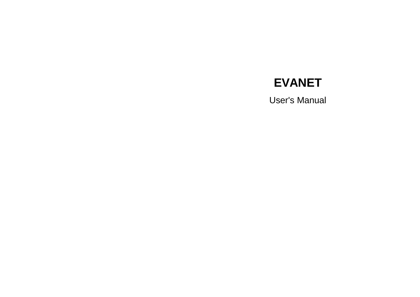# **EVANET**

User's Manual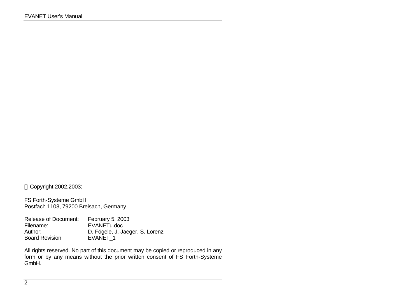Copyright 2002,2003:

FS Forth-Systeme GmbH Postfach 1103, 79200 Breisach, Germany

Release of Document: February 5, 2003 Filename: EVANETu.doc D. Fögele, J. Jaeger, S. Lorenz<br>EVANET\_1 Board Revision

All rights reserved. No part of this document may be copied or reproduced in any form or by any means without the prior written consent of FS Forth-Systeme GmbH.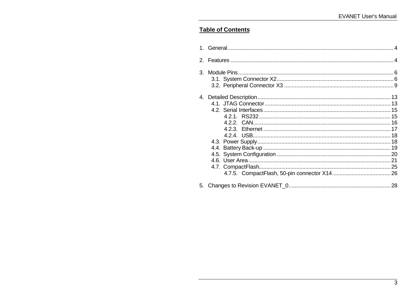# **Table of Contents**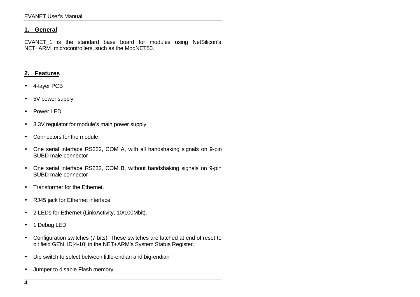#### **1. General**

EVANET 1 is the standard base board for modules using NetSilicon's NET+ARM microcontrollers, such as the ModNET50.

#### **2. Features**

- 4-layer PCB
- 5V power supply
- Power LED
- 3.3V regulator for module's main power supply
- Connectors for the module
- One serial interface RS232, COM A, with all handshaking signals on 9-pin SUBD male connector
- One serial interface RS232, COM B, without handshaking signals on 9-pin SUBD male connector
- Transformer for the Ethernet.
- RJ45 jack for Ethernet interface
- 2 LEDs for Ethernet (Link/Activity, 10/100Mbit).
- 1 Debug LED
- Configuration switches (7 bits). These switches are latched at end of reset to bit field GEN\_ID[4-10] in the NET+ARM's System Status Register.
- Dip switch to select between little-endian and big-endian
- Jumper to disable Flash memory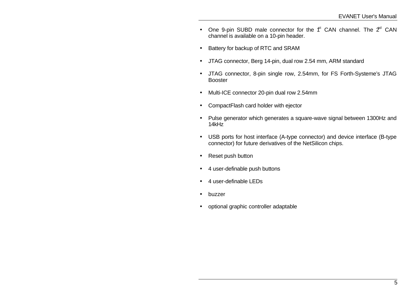- One 9-pin SUBD male connector for the  $f^t$  CAN channel. The  $2^d$  CAN channel is available on a 10-pin header.
- Battery for backup of RTC and SRAM
- JTAG connector, Berg 14-pin, dual row 2.54 mm, ARM standard
- JTAG connector, 8-pin single row, 2.54mm, for FS Forth-Systeme's JTAG Booster
- Multi-ICE connector 20-pin dual row 2.54mm
- CompactFlash card holder with ejector
- Pulse generator which generates a square-wave signal between 1300Hz and 14kHz
- USB ports for host interface (A-type connector) and device interface (B-type connector) for future derivatives of the NetSilicon chips.
- Reset push button
- 4 user-definable push buttons
- 4 user-definable LEDs
- buzzer
- optional graphic controller adaptable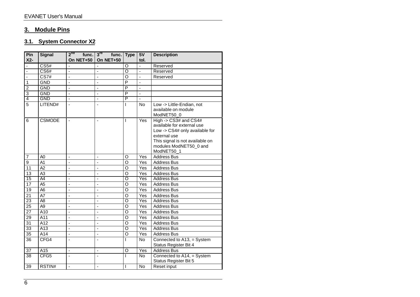# **3. Module Pins**

## **3.1. System Connector X2**

| Pin<br>$X2-$    | <b>Signal</b>     | $2^{na}$<br>func.<br>On NET+50 | 3 <sup>rd</sup> func. Type<br>On NET+50 |                | 5V<br>tol.     | <b>Description</b>                                                                                                                                                                   |
|-----------------|-------------------|--------------------------------|-----------------------------------------|----------------|----------------|--------------------------------------------------------------------------------------------------------------------------------------------------------------------------------------|
| ä,              | $\overline{CS5#}$ |                                |                                         | O              | $\overline{a}$ | Reserved                                                                                                                                                                             |
| Ξ               | CS <sub>6#</sub>  | Ξ                              | $\overline{a}$                          | ō              | Ξ              | Reserved                                                                                                                                                                             |
| Ţ               | CS7#              | $\overline{a}$                 | ä,                                      | O              | $\overline{a}$ | Reserved                                                                                                                                                                             |
| $\overline{1}$  | <b>GND</b>        | ÷,                             | ÷,                                      | P              | ä,             |                                                                                                                                                                                      |
| $\overline{2}$  | <b>GND</b>        | ä,                             | ä,                                      | P              | ÷,             |                                                                                                                                                                                      |
| $\overline{3}$  | <b>GND</b>        | $\blacksquare$                 | $\overline{\phantom{a}}$                | P              | $\blacksquare$ |                                                                                                                                                                                      |
| $\overline{4}$  | <b>GND</b>        | L.                             | $\overline{a}$                          | $\overline{P}$ | $\overline{a}$ |                                                                                                                                                                                      |
| $\overline{5}$  | LITEND#           | ä,                             | $\blacksquare$                          | L              | <b>No</b>      | Low -> Little-Endian, not<br>available on module<br>ModNET50_0                                                                                                                       |
| 6               | <b>CSMODE</b>     | $\blacksquare$                 | $\blacksquare$                          | T              | Yes            | High -> $CS3#$ and $CS4#$<br>available for external use<br>Low -> CS4# only available for<br>external use<br>This signal is not available on<br>modules ModNET50_0 and<br>ModNET50_1 |
| $\overline{7}$  | A <sub>0</sub>    | $\blacksquare$                 | ä,                                      | O              | Yes            | <b>Address Bus</b>                                                                                                                                                                   |
| $\overline{9}$  | $\overline{A1}$   | ÷,                             |                                         | O              | Yes            | Address Bus                                                                                                                                                                          |
| 11              | A2                | ä,                             |                                         | O              | Yes            | <b>Address Bus</b>                                                                                                                                                                   |
| 13              | A <sub>3</sub>    | $\overline{a}$                 | L.                                      | O              | Yes            | <b>Address Bus</b>                                                                                                                                                                   |
| 15              | $\overline{A4}$   | $\overline{a}$                 | ä,                                      | $\overline{O}$ | Yes            | <b>Address Bus</b>                                                                                                                                                                   |
| 17              | A <sub>5</sub>    | ÷,                             | ÷,                                      | O              | Yes            | <b>Address Bus</b>                                                                                                                                                                   |
| 19              | A <sub>6</sub>    | $\blacksquare$                 | $\blacksquare$                          | O              | Yes            | <b>Address Bus</b>                                                                                                                                                                   |
| $\overline{21}$ | A7                | $\blacksquare$                 | $\blacksquare$                          | O              | Yes            | Address Bus                                                                                                                                                                          |
| 23              | $\overline{AB}$   | ÷,                             | $\blacksquare$                          | $\overline{O}$ | Yes            | <b>Address Bus</b>                                                                                                                                                                   |
| $\overline{25}$ | A <sub>9</sub>    | ä,                             | $\blacksquare$                          | $\circ$        | Yes            | Address Bus                                                                                                                                                                          |
| $\overline{27}$ | $\overline{A10}$  | ÷,                             | $\overline{a}$                          | $\overline{0}$ | Yes            | <b>Address Bus</b>                                                                                                                                                                   |
| 29              | A11               | ä,                             | ä,                                      | O              | Yes            | <b>Address Bus</b>                                                                                                                                                                   |
| $\overline{31}$ | A12               | $\overline{\phantom{a}}$       | $\overline{a}$                          | $\overline{0}$ | Yes            | <b>Address Bus</b>                                                                                                                                                                   |
| 33              | A13               | $\overline{a}$                 | ÷,                                      | Ō              | Yes            | <b>Address Bus</b>                                                                                                                                                                   |
| 35              | A14               | ä,                             | ä,                                      | O              | Yes            | <b>Address Bus</b>                                                                                                                                                                   |
| $\overline{36}$ | CFG4              | $\blacksquare$                 | $\blacksquare$                          | L              | <b>No</b>      | Connected to A13, = System<br>Status Register Bit 4                                                                                                                                  |
| 37              | A15               | L,                             | ä,                                      | $\circ$        | Yes            | <b>Address Bus</b>                                                                                                                                                                   |
| $\overline{38}$ | CFG <sub>5</sub>  |                                |                                         | L              | <b>No</b>      | Connected to A14, = System<br>Status Register Bit 5                                                                                                                                  |
| 39              | RSTIN#            | $\overline{\phantom{a}}$       | $\overline{\phantom{a}}$                | T              | No             | Reset input                                                                                                                                                                          |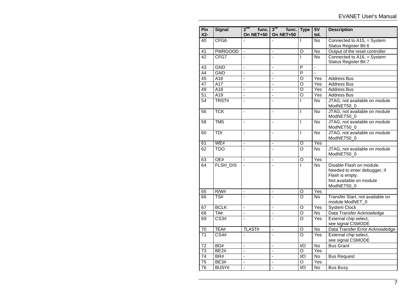| Pin<br>$X2-$    | <b>Signal</b>     | $2^{na}$<br>func.<br>On NET+50 | $3^{\text{rd}}$<br>func.<br>On NET+50 | <b>Type</b>             | 5V<br>tol.     | <b>Description</b>                                                                                                   |
|-----------------|-------------------|--------------------------------|---------------------------------------|-------------------------|----------------|----------------------------------------------------------------------------------------------------------------------|
| 40              | CFG <sub>6</sub>  | $\mathbf{r}$                   |                                       | T                       | No.            | Connected to A15, = System<br>Status Register Bit 6                                                                  |
| $\overline{41}$ | <b>PWRGOOD</b>    | ä,                             |                                       | $\overline{O}$          | $\overline{N}$ | Output of the reset controller                                                                                       |
| $\overline{42}$ | CFG7              | L.                             | L.                                    | L                       | N <sub>o</sub> | Connected to A16, = System<br>Status Register Bit 7                                                                  |
| $\overline{43}$ | <b>GND</b>        | $\overline{a}$                 | $\overline{a}$                        | $\overline{P}$          | $\overline{a}$ |                                                                                                                      |
| $\overline{44}$ | <b>GND</b>        | $\overline{\phantom{a}}$       | $\frac{1}{2}$                         | $\overline{\mathsf{P}}$ | L.             |                                                                                                                      |
| 45              | A16               | ä,                             | ÷,                                    | O                       | Yes            | <b>Address Bus</b>                                                                                                   |
| $\overline{47}$ | $\overline{A17}$  | ÷,                             | $\overline{a}$                        | $\overline{\circ}$      | Yes            | <b>Address Bus</b>                                                                                                   |
| 49              | A18               | ÷,                             | L,                                    | $\overline{\circ}$      | Yes            | <b>Address Bus</b>                                                                                                   |
| $\overline{51}$ | $\overline{A19}$  | ÷,                             | $\overline{\phantom{a}}$              | $\overline{O}$          | Yes            | <b>Address Bus</b>                                                                                                   |
| $\overline{54}$ | TRST#             | ä,                             | ÷,                                    | I                       | <b>No</b>      | JTAG, not available on module<br>ModNET50_0                                                                          |
| $\overline{56}$ | <b>TCK</b>        | $\overline{\phantom{a}}$       | $\overline{\phantom{a}}$              | T                       | <b>No</b>      | JTAG, not available on module<br>ModNET50_0                                                                          |
| 58              | <b>TMS</b>        | ä,                             | $\overline{a}$                        | T                       | $\overline{N}$ | JTAG, not available on module<br>ModNET50_0                                                                          |
| 60              | $\overline{TDI}$  | ÷,                             | ÷,                                    | $\overline{1}$          | $\overline{N}$ | JTAG, not available on module<br>ModNET50_0                                                                          |
| 61              | WE#               | $\blacksquare$                 | ä,                                    | $\overline{\circ}$      | Yes            |                                                                                                                      |
| 62              | <b>TDO</b>        | L.                             | $\overline{a}$                        | $\overline{\circ}$      | $\overline{N}$ | JTAG, not available on module<br>ModNET50_0                                                                          |
| 63              | OE#               | ä,                             | $\overline{a}$                        | O                       | Yes            |                                                                                                                      |
| 64              | <b>FLSH DIS</b>   |                                | $\overline{a}$                        | T                       | <b>No</b>      | Disable Flash on module.<br>Needed to enter debugger, if<br>Flash is empty.<br>Not available on module<br>ModNET50_0 |
| 65              | R/W#              | L.                             | $\overline{a}$                        | $\overline{O}$          | Yes            |                                                                                                                      |
| 66              | TS#               | $\blacksquare$                 | ä,                                    | $\overline{O}$          | N <sub>o</sub> | Transfer Start, not available on<br>module ModNET_0                                                                  |
| 67              | <b>BCLK</b>       | ÷,                             | L.                                    | O                       | Yes            | <b>System Clock</b>                                                                                                  |
| 68              | TA#               | ä,                             | ÷,                                    | $\overline{\circ}$      | No             | Data Transfer Acknowledge                                                                                            |
| 69              | $\overline{CS3#}$ | $\blacksquare$                 | ä,                                    | $\overline{\circ}$      | Yes            | External chip select,<br>see signal CSMODE                                                                           |
| $70\,$          | TEA#              | TLAST#                         | L,                                    | $\circ$                 | No             | Data Transfer Error Acknowledge                                                                                      |
| 71              | CS4#              | ÷,                             | $\overline{a}$                        | $\overline{O}$          | Yes            | External chip select,<br>see signal CSMODE                                                                           |
| 72              | BG#               | ÷,                             | L,                                    | 1/O                     | No             | <b>Bus Grant</b>                                                                                                     |
| $\overline{73}$ | <b>BE2#</b>       | $\overline{a}$                 | $\overline{a}$                        | Ō                       | Yes            |                                                                                                                      |
| $\overline{74}$ | BR#               | $\overline{a}$                 | $\overline{a}$                        | $\overline{1/O}$        | <b>No</b>      | <b>Bus Request</b>                                                                                                   |
| $\overline{75}$ | BE3#              | ÷,                             | ÷,                                    | $\overline{O}$          | Yes            |                                                                                                                      |
| $\overline{76}$ | BUSY#             | $\overline{\phantom{a}}$       | $\overline{\phantom{a}}$              | $\overline{1/O}$        | No             | <b>Bus Busy</b>                                                                                                      |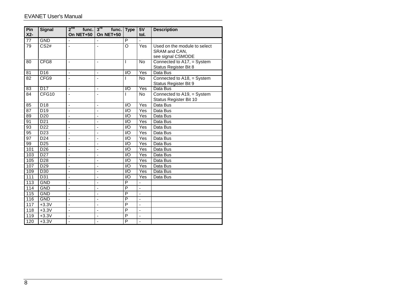#### EVANET User's Manual

| Pin<br>$X2-$     | <b>Signal</b>    | $2^{na}$<br>func.<br>On NET+50 | $3^{\text{ra}}$<br>func. Type<br>On NET+50 |                         | 5V<br>tol.        | <b>Description</b>                                  |
|------------------|------------------|--------------------------------|--------------------------------------------|-------------------------|-------------------|-----------------------------------------------------|
|                  |                  |                                |                                            |                         |                   |                                                     |
| 77               | <b>GND</b>       | ä,                             |                                            | P                       |                   |                                                     |
| 79               | CS <sub>2#</sub> | ÷,                             | ÷,                                         | $\circ$                 | Yes               | Used on the module to select                        |
|                  |                  |                                |                                            |                         |                   | SRAM and CAN,                                       |
|                  |                  |                                |                                            |                         |                   | see signal CSMODE                                   |
| 80               | CFG8             | ä,                             | ÷,                                         | L                       | No                | Connected to A17, = System<br>Status Register Bit 8 |
| 81               | D <sub>16</sub>  | ä,                             | ä,                                         | I/O                     | Yes               | Data Bus                                            |
| 82               | CFG9             | ä,                             | L                                          | ı                       | <b>No</b>         | Connected to A18, = System                          |
|                  |                  |                                |                                            |                         |                   | Status Register Bit 9                               |
| 83               | D <sub>17</sub>  | $\overline{a}$                 | $\overline{a}$                             | $\overline{1}$          | Yes               | Data Bus                                            |
| 84               | CFG10            | ÷,                             |                                            | T                       | <b>No</b>         | Connected to A19, = System                          |
|                  |                  |                                |                                            |                         |                   | Status Register Bit 10                              |
| 85               | $\overline{D18}$ | $\tilde{\phantom{a}}$          | $\overline{a}$                             | 1/O                     | Yes               | Data Bus                                            |
| 87               | D <sub>19</sub>  | ä,                             | ä,                                         | I/O                     | Yes               | Data Bus                                            |
| 89               | D <sub>20</sub>  | $\blacksquare$                 | ä,                                         | $\overline{1}$          | Yes               | Data Bus                                            |
| 91               | D <sub>21</sub>  | $\blacksquare$                 | ä,                                         | $\mathsf{I}/\mathsf{O}$ | Yes               | Data Bus                                            |
| 93               | D <sub>22</sub>  | $\blacksquare$                 | ÷,                                         | I/O                     | Yes               | Data Bus                                            |
| 95               | D <sub>23</sub>  | ä,                             | ÷,                                         | I/O                     | Yes               | Data Bus                                            |
| 97               | D <sub>24</sub>  | ÷,                             | ÷,                                         | I/O                     | $\overline{Y}$ es | Data Bus                                            |
| 99               | D <sub>25</sub>  | ÷,                             | ÷,                                         | $\overline{1}$          | $\overline{Yes}$  | Data Bus                                            |
| 101              | D <sub>26</sub>  | ä,                             | ä,                                         | $\overline{1}$          | Yes               | Data Bus                                            |
| 103              | D <sub>27</sub>  | ÷,                             | $\overline{a}$                             | I/O                     | Yes               | Data Bus                                            |
| 105              | D <sub>28</sub>  | ÷,                             | L                                          | I/O                     | Yes               | Data Bus                                            |
| 107              | D <sub>29</sub>  | ä,                             | ä,                                         | 1/O                     | Yes               | Data Bus                                            |
| 109              | D <sub>30</sub>  | $\blacksquare$                 | ÷,                                         | $\overline{1}$          | Yes               | Data Bus                                            |
| $\overline{111}$ | $\overline{D31}$ | ÷,                             | ä,                                         | $\overline{1/O}$        | Yes               | Data Bus                                            |
| 113              | <b>GND</b>       | $\blacksquare$                 | ä,                                         | $\overline{P}$          |                   |                                                     |
| 114              | <b>GND</b>       | $\blacksquare$                 | $\overline{\phantom{a}}$                   | P                       | $\blacksquare$    |                                                     |
| 115              | <b>GND</b>       | $\blacksquare$                 | ÷,                                         | P                       | $\overline{a}$    |                                                     |
| 116              | <b>GND</b>       | $\overline{\phantom{a}}$       | $\blacksquare$                             | P                       | $\blacksquare$    |                                                     |
| 117              | $+3.3V$          | $\blacksquare$                 | $\blacksquare$                             | P                       | ÷,                |                                                     |
| 118              | $+3.3V$          | ÷,                             | ÷,                                         | P                       | ä,                |                                                     |
| 119              | $+3.3V$          | $\blacksquare$                 | ÷,                                         | P                       | ÷,                |                                                     |
| 120              | $+3.3V$          | ä,                             | L,                                         | P                       | $\overline{a}$    |                                                     |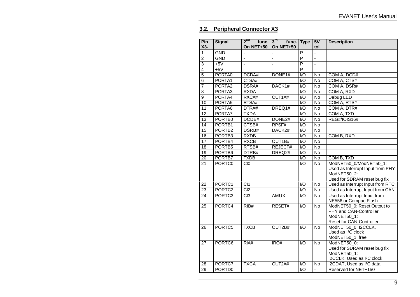## **3.2. Peripheral Connector X3**

| Pin             | <b>Signal</b>      | $2^{na}$<br>func. | $3^{\text{rd}}$<br>func. | <b>Type</b>                 | 5V              | <b>Description</b>                                    |
|-----------------|--------------------|-------------------|--------------------------|-----------------------------|-----------------|-------------------------------------------------------|
| $X3-$           |                    | On NET+50         | On NET+50                |                             | tol.            |                                                       |
| 1               | <b>GND</b>         | $\blacksquare$    |                          | $\overline{P}$              | $\overline{a}$  |                                                       |
| $\overline{2}$  | <b>GND</b>         | ä,                | ä,                       | $\overline{\mathsf{P}}$     | ä,              |                                                       |
| $\overline{3}$  | $+5V$              | ÷,                | ä,                       | $\overline{P}$              | L,              |                                                       |
| $\overline{4}$  | $+5V$              | ä,                |                          | $\overline{\mathsf{P}}$     | ä,              |                                                       |
| $\overline{5}$  | PORTA0             | DCDA#             | DONE1#                   | $\overline{1}/\overline{O}$ | No              | COM A, DCD#                                           |
| $\overline{6}$  | PORTA1             | CTSA#             |                          | $\overline{1/O}$            | $\overline{N}$  | COM A, CTS#                                           |
| $\overline{7}$  | PORTA2             | DSRA#             | DACK1#                   | $\overline{1/O}$            | No              | COM A, DSR#                                           |
| $\overline{8}$  | PORTA3             | <b>RXDA</b>       |                          | $\overline{1/O}$            | <b>No</b>       | COM A, RXD                                            |
| 9               | PORTA4             | RXCA#             | OUT1A#                   | $\overline{10}$             | No              | Debug LED                                             |
| 10              | PORTA <sub>5</sub> | RTSA#             |                          | $\overline{1}/\overline{O}$ | <b>No</b>       | COM A, RTS#                                           |
| 11              | PORTA6             | DTRA#             | DREQ1#                   | $\overline{1/O}$            | $\overline{N}$  | COM A, DTR#                                           |
| 12              | PORTA7             | <b>TXDA</b>       |                          | $\overline{1/O}$            | $\overline{N}$  | COM A, TXD                                            |
| 13              | PORTB0             | DCDB#             | DONE2#                   | $\overline{1/O}$            | No              | REG#/IOIS16#                                          |
| 14              | PORTB1             | CTSB#             | RPSF#                    | $\overline{1/O}$            | No              |                                                       |
| $\overline{15}$ | PORTB <sub>2</sub> | DSRB#             | DACK2#                   | $\overline{1/O}$            | <b>No</b>       |                                                       |
| 16              | PORTB <sub>3</sub> | <b>RXDB</b>       |                          | $\overline{1/O}$            | <b>No</b>       | COM B, RXD                                            |
| 17              | PORTB4             | <b>RXCB</b>       | OUT1B#                   | $\overline{1/O}$            | No              |                                                       |
| 18              | PORTB5             | RTSB#             | REJECT#                  | $\overline{1/O}$            | $\overline{No}$ |                                                       |
| $\overline{19}$ | PORTB6             | DTRB#             | DREQ <sub>2#</sub>       | $\overline{1/O}$            | <b>No</b>       |                                                       |
| 20              | PORTB7             | <b>TXDB</b>       |                          | $\overline{1/O}$            | <b>No</b>       | COM B, TXD                                            |
| 21              | PORTC0             | $\overline{C}$    |                          | $\mathsf{IO}$               | <b>No</b>       | ModNET50_0/ModNET50_1:                                |
|                 |                    |                   |                          |                             |                 | Used as Interrupt Input from PHY                      |
|                 |                    |                   |                          |                             |                 | ModNET50_2:                                           |
|                 |                    |                   |                          |                             |                 | Used for SDRAM reset bug fix                          |
| $\overline{22}$ | PORTC1             | CI1               |                          | $\overline{1/O}$            | No              | Used as Interrupt Input from RTC                      |
| 23              | PORTC <sub>2</sub> | C <sub>2</sub>    |                          | $\overline{1/O}$            | No              | Used as Interrupt Input from CAN                      |
| 24              | PORTC3             | $\overline{CI3}$  | <b>AMUX</b>              | $\overline{1/O}$            | $\overline{N}$  | Used as Interrupt Input from                          |
|                 |                    |                   |                          |                             |                 | NE556 or CompactFlash                                 |
| $\overline{25}$ | PORTC4             | RIB#              | RESET#                   | $\overline{1/O}$            | <b>No</b>       | ModNET50_0: Reset Output to                           |
|                 |                    |                   |                          |                             |                 | PHY and CAN-Controller                                |
|                 |                    |                   |                          |                             |                 | ModNET50 1:                                           |
|                 |                    |                   |                          |                             |                 | Reset for CAN-Controller                              |
| $\overline{26}$ | PORTC5             | <b>TXCB</b>       | OUT2B#                   | $\mathsf{IO}$               | No              | ModNET50_0: I2CCLK,<br>Used as I <sup>2</sup> C clock |
|                 |                    |                   |                          |                             |                 | ModNET50_1: free                                      |
| 27              | PORTC6             | RIA#              | IRQ#                     | I/O                         | No              | ModNET50_0:                                           |
|                 |                    |                   |                          |                             |                 | Used for SDRAM reset bug fix                          |
|                 |                    |                   |                          |                             |                 | ModNET50 1:                                           |
|                 |                    |                   |                          |                             |                 | I2CCLK, Used as I <sup>2</sup> C clock                |
| 28              | PORTC7             | <b>TXCA</b>       | OUT2A#                   | $\overline{1/O}$            | No              | I2CDAT, Used as I <sup>2</sup> C data                 |
| $\overline{29}$ | PORTD0             |                   |                          | $\overline{1/O}$            | ÷,              | Reserved for NET+150                                  |
|                 |                    |                   |                          |                             |                 |                                                       |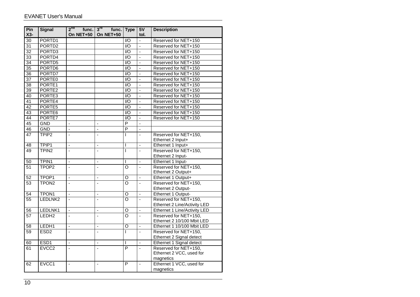| Pin<br>$X3-$    | <b>Signal</b>                | $2^{na}$<br>func.<br>On NET+50 | $3^{\mathsf{ra}}$<br>func. Type<br><b>On NET+50</b> |                                      | 5V<br>tol.               | <b>Description</b>                                    |
|-----------------|------------------------------|--------------------------------|-----------------------------------------------------|--------------------------------------|--------------------------|-------------------------------------------------------|
| $\overline{30}$ | PORTD1                       |                                |                                                     | $\overline{1/O}$                     | Ξ                        | Reserved for NET+150                                  |
| 31              | PORTD <sub>2</sub>           |                                |                                                     | $\overline{1/O}$                     | ä,                       | Reserved for NET+150                                  |
| $\overline{32}$ | PORTD3                       |                                |                                                     | $\overline{1/O}$                     | ÷,                       | Reserved for NET+150                                  |
| 33              | PORTD4                       |                                |                                                     | $\overline{1/O}$                     | $\overline{a}$           | Reserved for NET+150                                  |
| 34              | PORTD5                       |                                |                                                     | VO                                   | ä,                       | Reserved for NET+150                                  |
| 35              | PORTD6                       |                                |                                                     | $\overline{1/O}$                     | ä,                       | Reserved for NET+150                                  |
| $\overline{36}$ | PORTD7                       |                                |                                                     | $\overline{1/O}$                     |                          | Reserved for NET+150                                  |
| $\overline{37}$ | PORTE0                       |                                |                                                     | $\overline{1/O}$                     | $\overline{a}$           | Reserved for NET+150                                  |
| 38              | PORTE1                       |                                |                                                     | $\overline{1}$                       | L.                       | Reserved for NET+150                                  |
| 39              | PORTE2                       |                                |                                                     | $\overline{1/O}$                     | $\overline{a}$           | Reserved for NET+150                                  |
| 40              | PORTE3                       |                                |                                                     | $\overline{1/O}$                     | $\overline{a}$           | Reserved for NET+150                                  |
| 41              | PORTE4                       |                                |                                                     | $\overline{1}$                       | $\overline{a}$           | Reserved for NET+150                                  |
| $\overline{42}$ | PORTE5                       |                                |                                                     | $\overline{1}$                       | $\overline{a}$           | Reserved for NET+150                                  |
| 43              | PORTE <sub>6</sub>           |                                |                                                     | $\overline{1/O}$                     | $\overline{a}$           | Reserved for NET+150                                  |
| 44              | PORTE7                       |                                |                                                     | $\overline{1/O}$                     | ä,                       | Reserved for NET+150                                  |
| $\overline{45}$ | <b>GND</b>                   | ä,                             |                                                     | $\overline{P}$                       |                          |                                                       |
| 46              | <b>GND</b>                   | $\mathbf{r}$                   | ÷,                                                  | $\overline{P}$                       | $\overline{a}$           |                                                       |
| 47              | TPIP <sub>2</sub>            | ä,                             | ÷,                                                  | L                                    | ä,                       | Reserved for NET+150,                                 |
|                 |                              |                                |                                                     |                                      |                          | Ethernet 2 Input+                                     |
| 48              | TPIP1                        | ä,                             | $\Box$                                              | T                                    | ÷,                       | Ethernet 1 Input+                                     |
| 49              | TPIN <sub>2</sub>            | $\overline{a}$                 | $\overline{a}$                                      | T                                    | L,                       | Reserved for NET+150,                                 |
|                 |                              |                                |                                                     |                                      |                          | Ethernet 2 Input-                                     |
| 50              | TPIN1                        | $\overline{a}$                 | $\blacksquare$                                      | L                                    | $\overline{\phantom{a}}$ | Ethernet 1 Input-                                     |
| 51              | TPOP <sub>2</sub>            | $\overline{a}$                 | $\blacksquare$                                      | $\Omega$                             | ÷,                       | Reserved for NET+150,                                 |
|                 |                              |                                |                                                     |                                      |                          | Ethernet 2 Output+                                    |
| 52              | TPOP1                        | Ξ                              | $\Box$                                              | $\overline{O}$                       | $\overline{\phantom{a}}$ | Ethernet 1 Output+                                    |
| $\overline{53}$ | TPON <sub>2</sub>            | L.                             | L.                                                  | $\overline{\circ}$                   | L.                       | Reserved for NET+150,                                 |
|                 |                              |                                |                                                     |                                      |                          | Ethernet 2 Output-                                    |
| 54              | TPON <sub>1</sub><br>LEDLNK2 | $\blacksquare$                 | $\overline{\phantom{a}}$                            | $\overline{O}$<br>$\overline{\rm o}$ | $\overline{a}$           | Ethernet 1 Output-                                    |
| 55              |                              | ä,                             | L,                                                  |                                      | ä,                       | Reserved for NET+150,<br>Ethernet 2 Line/Activity LED |
|                 | LEDLNK1                      | L,                             | $\blacksquare$                                      | $\circ$                              | ä,                       | Ethernet 1 Line/Activity LED                          |
| 56              | LEDH <sub>2</sub>            | $\overline{a}$                 |                                                     | $\overline{\circ}$                   | $\overline{a}$           | Reserved for NET+150,                                 |
| 57              |                              |                                |                                                     |                                      |                          | Ethernet 2 10/100 Mbit LED                            |
| 58              | LEDH1                        | $\overline{a}$                 | ä,                                                  | O                                    | ÷,                       | Ethernet 1 10/100 Mbit LED                            |
| $\overline{59}$ | ESD <sub>2</sub>             | $\overline{a}$                 | $\overline{a}$                                      | L                                    | $\overline{a}$           | Reserved for NET+150,                                 |
|                 |                              |                                |                                                     |                                      |                          | Ethernet 2 Signal detect                              |
| 60              | ESD <sub>1</sub>             | $\overline{a}$                 | $\blacksquare$                                      | T                                    | $\overline{a}$           | Ethernet 1 Signal detect                              |
| 61              | EVCC <sub>2</sub>            | $\overline{a}$                 | $\overline{a}$                                      | P                                    | $\overline{a}$           | Reserved for NET+150,                                 |
|                 |                              |                                |                                                     |                                      |                          | Ethernet 2 VCC, used for                              |
|                 |                              |                                |                                                     |                                      |                          | magnetics                                             |
| 62              | EVCC1                        | $\overline{a}$                 | $\overline{\phantom{a}}$                            | P                                    | $\overline{\phantom{a}}$ | Ethernet 1 VCC, used for                              |
|                 |                              |                                |                                                     |                                      |                          | magnetics                                             |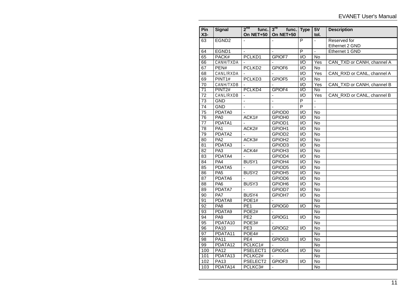| Pin<br>$X3-$    | <b>Signal</b>       | $2^{na}$<br>func.<br>On NET+50 | $3^{\text{rd}}$<br>func.<br>On NET+50 | <b>Type</b>                 | 5V<br>tol.       | <b>Description</b>         |
|-----------------|---------------------|--------------------------------|---------------------------------------|-----------------------------|------------------|----------------------------|
| 63              | EGND <sub>2</sub>   | $\mathbf{r}$                   |                                       | $\overline{P}$              | ÷.               | Reserved for               |
|                 |                     |                                |                                       |                             |                  | Ethernet 2 GND             |
| 64              | EGND1               |                                |                                       | $\overline{\mathsf{P}}$     | ä,               | Ethernet 1 GND             |
| 65              | PACK#               | PCLKD1                         | GPIOF7                                | $\overline{1/O}$            | <b>No</b>        |                            |
| 66              | CANH/TXDA           |                                |                                       | I/O                         | Yes              | CAN_TXD or CANH, channel A |
| 67              | PEN#                | PCLKD <sub>2</sub>             | GPIOF6                                | $\overline{1/O}$            | $\overline{N}$   |                            |
| 68              | CANL/RXDA           | $\mathbf{r}$                   |                                       | $\overline{1/O}$            | $\overline{Yes}$ | CAN RXD or CANL, channel A |
| 69              | PINT <sub>1#</sub>  | PCLKD3                         | GPIOF5                                | $\overline{10}$             | No               |                            |
| 70              | CANH/TXDB           |                                |                                       | $\overline{1/O}$            | Yes              | CAN_TXD or CANH, channel B |
| $\overline{71}$ | PINT <sub>2#</sub>  | PCLKD4                         | GPIOF4                                | $\overline{1}/\overline{O}$ | No               |                            |
| 72              | CANL/RXDB           |                                | ÷,                                    | $\overline{1/O}$            | Yes              | CAN_RXD or CANL, channel B |
| $\overline{73}$ | <b>GND</b>          | ä,                             | ÷,                                    | $\overline{P}$              | $\blacksquare$   |                            |
| 74              | <b>GND</b>          | $\overline{a}$                 |                                       | $\overline{P}$              | $\overline{a}$   |                            |
| 75              | PDATA0              | ÷,                             | GPIOD <sub>0</sub>                    | $\overline{1/O}$            | No               |                            |
| 76              | PA <sub>0</sub>     | ACK1#                          | GPIOH <sub>0</sub>                    | $\overline{1/O}$            | $\overline{N}$   |                            |
| $\overline{77}$ | PDATA1              |                                | GPIOD1                                | $\overline{1/O}$            | No               |                            |
| $\overline{78}$ | PA <sub>1</sub>     | ACK <sub>2#</sub>              | GPIOH1                                | $\overline{1/O}$            | $\overline{No}$  |                            |
| 79              | PDATA2              |                                | GPIOD <sub>2</sub>                    | $\overline{1}/\overline{O}$ | No               |                            |
| $\overline{80}$ | PA <sub>2</sub>     | ACK3#                          | GPIOH <sub>2</sub>                    | $\overline{1/O}$            | $\overline{N}$   |                            |
| 81              | PDATA3              | ÷,                             | GPIOD <sub>3</sub>                    | $\overline{1/O}$            | <b>No</b>        |                            |
| 82              | PA <sub>3</sub>     | ACK4#                          | GPIOH <sub>3</sub>                    | 1/O                         | No               |                            |
| $\overline{83}$ | PDATA4              |                                | GPIOD4                                | $\overline{1/O}$            | $\overline{N}$   |                            |
| 84              | PA4                 | <b>BUSY1</b>                   | GPIOH4                                | $\overline{1/O}$            | No               |                            |
| 85              | PDATA <sub>5</sub>  |                                | GPIOD5                                | $\overline{1/O}$            | $\overline{N}$   |                            |
| 86              | PA <sub>5</sub>     | BUSY <sub>2</sub>              | GPIOH <sub>5</sub>                    | $\overline{1}/\overline{O}$ | No               |                            |
| 87              | PDATA6              | $\overline{a}$                 | GPIOD6                                | $\overline{1/O}$            | No               |                            |
| 88              | PA <sub>6</sub>     | BUSY3                          | GPIOH <sub>6</sub>                    | $\overline{1/O}$            | <b>No</b>        |                            |
| 89              | PDATA7              | $\blacksquare$                 | GPIOD7                                | $\overline{1/O}$            | No               |                            |
| 90              | PA7                 | BUSY4                          | GPIOH7                                | $\overline{1/O}$            | <b>No</b>        |                            |
| 91              | PDATA8              | POE1#                          |                                       |                             | <b>No</b>        |                            |
| 92              | PA <sub>8</sub>     | PE <sub>1</sub>                | GPIOG0                                | $\mathsf{IO}$               | No               |                            |
| 93              | PDATA9              | POE <sub>2#</sub>              |                                       |                             | <b>No</b>        |                            |
| 94              | PA <sub>9</sub>     | PE <sub>2</sub>                | GPIOG1                                | $\overline{1}/\overline{O}$ | $\overline{N}$   |                            |
| 95              | PDATA <sub>10</sub> | POE3#                          |                                       |                             | No               |                            |
| 96              | <b>PA10</b>         | PE <sub>3</sub>                | GPIOG2                                | $\overline{1/O}$            | <b>No</b>        |                            |
| 97              | PDATA11             | POE4#                          |                                       |                             | $\overline{No}$  |                            |
| 98              | <b>PA11</b>         | PE4                            | GPIOG3                                | 1/O                         | No.              |                            |
| 99              | PDATA12             | PCLKC1#                        |                                       |                             | No               |                            |
| 100             | <b>PA12</b>         | PSELECT1                       | GPIOG4                                | $\overline{1}$              | No               |                            |
| 101             | PDATA13             | PCLKC <sub>2#</sub>            |                                       |                             | $\overline{N}$   |                            |
| 102             | <b>PA13</b>         | PSELECT2                       | GPIOF3                                | $\mathsf{I}/\mathsf{O}$     | No               |                            |
| 103             | PDATA14             | PCLKC3#                        |                                       |                             | No               |                            |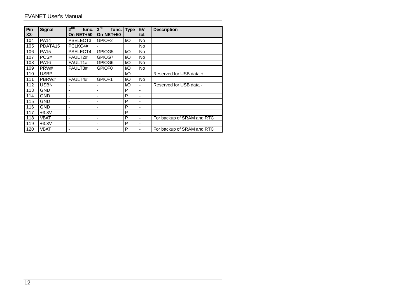#### EVANET User's Manual

| Pin<br>$X3-$ | <b>Signal</b>       | $2^{na}$<br>func.<br>On NET+50 | $3^{\text{rd}}$<br>func. Type<br>On NET+50 |               | 5V<br>tol.               | <b>Description</b>         |
|--------------|---------------------|--------------------------------|--------------------------------------------|---------------|--------------------------|----------------------------|
| 104          | <b>PA14</b>         | PSELECT3                       | GPIOF <sub>2</sub>                         | I/O           | No                       |                            |
| 105          | PDATA <sub>15</sub> | PCLKC4#                        |                                            |               | No                       |                            |
| 106          | <b>PA15</b>         | PSELECT4                       | GPIOG5                                     | I/O           | No                       |                            |
| 107          | PCS#                | FAULT2#                        | GPIOG7                                     | $\mathsf{IO}$ | No                       |                            |
| 108          | <b>PA16</b>         | FAULT <sub>1#</sub>            | GPIOG6                                     | I/O           | No                       |                            |
| 109          | PRW#                | FAULT3#                        | GPIOF <sub>0</sub>                         | I/O           | No                       |                            |
| 110          | <b>USBP</b>         |                                |                                            | I/O           |                          | Reserved for USB data +    |
| 111          | PBRW#               | FAULT4#                        | GPIOF1                                     | I/O           | No                       |                            |
| 112          | <b>USBN</b>         |                                |                                            | I/O           |                          | Reserved for USB data -    |
| 113          | <b>GND</b>          |                                |                                            | P             | ٠                        |                            |
| 114          | <b>GND</b>          |                                |                                            | P             | -                        |                            |
| 115          | <b>GND</b>          | ۰                              |                                            | P             | $\overline{\phantom{a}}$ |                            |
| 116          | <b>GND</b>          | ۰                              |                                            | P             | ۰                        |                            |
| 117          | $+3.3V$             | ۰                              |                                            | P             | $\blacksquare$           |                            |
| 118          | VBAT                |                                |                                            | P             |                          | For backup of SRAM and RTC |
| 119          | $+3.3V$             |                                |                                            | P             |                          |                            |
| 120          | VBAT                |                                |                                            | P             |                          | For backup of SRAM and RTC |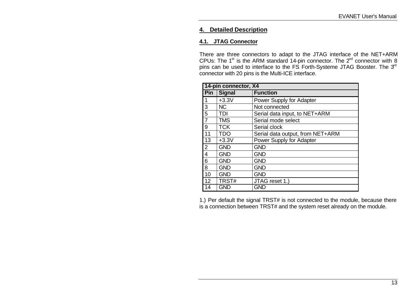## **4. Detailed Description**

#### **4.1. JTAG Connector**

There are three connectors to adapt to the JTAG interface of the NET+ARM CPUs: The  $1^{st}$  is the ARM standard 14-pin connector. The  $2^{nd}$  connector with 8 pins can be used to interface to the FS Forth-Systeme JTAG Booster. The 3rd connector with 20 pins is the Multi-ICE interface.

|                 | 14-pin connector, X4 |                                  |  |  |  |  |
|-----------------|----------------------|----------------------------------|--|--|--|--|
| Pin             | <b>Signal</b>        | <b>Function</b>                  |  |  |  |  |
|                 | $+3.3V$              | Power Supply for Adapter         |  |  |  |  |
| 3               | <b>NC</b>            | Not connected                    |  |  |  |  |
| $\overline{5}$  | TDI                  | Serial data input, to NET+ARM    |  |  |  |  |
| $\overline{7}$  | <b>TMS</b>           | Serial mode select               |  |  |  |  |
| 9               | <b>TCK</b>           | Serial clock                     |  |  |  |  |
| 11              | <b>TDO</b>           | Serial data output, from NET+ARM |  |  |  |  |
| $\overline{13}$ | $+3.3V$              | Power Supply for Adapter         |  |  |  |  |
| $\overline{2}$  | <b>GND</b>           | <b>GND</b>                       |  |  |  |  |
| 4               | <b>GND</b>           | <b>GND</b>                       |  |  |  |  |
| 6               | <b>GND</b>           | <b>GND</b>                       |  |  |  |  |
| $\overline{8}$  | <b>GND</b>           | <b>GND</b>                       |  |  |  |  |
| 10              | <b>GND</b>           | <b>GND</b>                       |  |  |  |  |
| 12              | TRST#                | JTAG reset 1.)                   |  |  |  |  |
| 14              | <b>GND</b>           | <b>GND</b>                       |  |  |  |  |

1.) Per default the signal TRST# is not connected to the module, because there is a connection between TRST# and the system reset already on the module.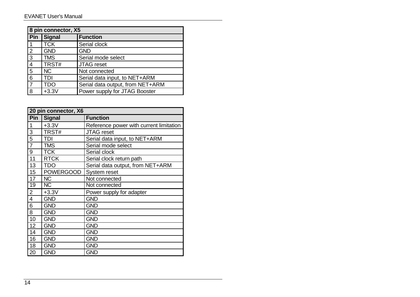|                | 8 pin connector, X5 |                                  |  |  |  |
|----------------|---------------------|----------------------------------|--|--|--|
|                | Pin Signal          | <b>Function</b>                  |  |  |  |
| l 1            | <b>TCK</b>          | Serial clock                     |  |  |  |
| $\overline{2}$ | <b>GND</b>          | <b>GND</b>                       |  |  |  |
| $\overline{3}$ | <b>TMS</b>          | Serial mode select               |  |  |  |
| $\overline{4}$ | TRST#               | <b>JTAG</b> reset                |  |  |  |
| $\overline{5}$ | <b>NC</b>           | Not connected                    |  |  |  |
| $\overline{6}$ | TDI                 | Serial data input, to NET+ARM    |  |  |  |
| 17             | TDO                 | Serial data output, from NET+ARM |  |  |  |
| $\overline{8}$ | $+3.3V$             | Power supply for JTAG Booster    |  |  |  |

|                | 20 pin connector, X6 |                                         |  |  |  |  |
|----------------|----------------------|-----------------------------------------|--|--|--|--|
|                | Pin   Signal         | <b>Function</b>                         |  |  |  |  |
| 1              | $+3.3V$              | Reference power with current limitation |  |  |  |  |
| 3              | TRST#                | <b>JTAG</b> reset                       |  |  |  |  |
| 5              | <b>TDI</b>           | Serial data input, to NET+ARM           |  |  |  |  |
| $\overline{7}$ | <b>TMS</b>           | Serial mode select                      |  |  |  |  |
| 9              | <b>TCK</b>           | Serial clock                            |  |  |  |  |
| 11             | <b>RTCK</b>          | Serial clock return path                |  |  |  |  |
| 13             | <b>TDO</b>           | Serial data output, from NET+ARM        |  |  |  |  |
| 15             | <b>POWERGOOD</b>     | System reset                            |  |  |  |  |
| 17             | <b>NC</b>            | Not connected                           |  |  |  |  |
| 19             | <b>NC</b>            | Not connected                           |  |  |  |  |
| $\overline{2}$ | $+3.3V$              | Power supply for adapter                |  |  |  |  |
| $\overline{4}$ | <b>GND</b>           | <b>GND</b>                              |  |  |  |  |
| 6              | <b>GND</b>           | <b>GND</b>                              |  |  |  |  |
| 8              | <b>GND</b>           | <b>GND</b>                              |  |  |  |  |
| 10             | <b>GND</b>           | <b>GND</b>                              |  |  |  |  |
| 12             | <b>GND</b>           | <b>GND</b>                              |  |  |  |  |
| 14             | <b>GND</b>           | <b>GND</b>                              |  |  |  |  |
| 16             | <b>GND</b>           | <b>GND</b>                              |  |  |  |  |
| 18             | <b>GND</b>           | <b>GND</b>                              |  |  |  |  |
| 20             | <b>GND</b>           | <b>GND</b>                              |  |  |  |  |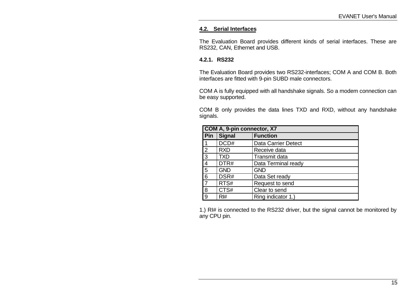#### **4.2. Serial Interfaces**

The Evaluation Board provides different kinds of serial interfaces. These are RS232, CAN, Ethernet and USB.

#### **4.2.1. RS232**

The Evaluation Board provides two RS232-interfaces; COM A and COM B. Both interfaces are fitted with 9-pin SUBD male connectors.

COM A is fully equipped with all handshake signals. So a modem connection can be easy supported.

COM B only provides the data lines TXD and RXD, without any handshake signals.

|                | COM A, 9-pin connector, X7 |                            |  |  |  |
|----------------|----------------------------|----------------------------|--|--|--|
| Pin            | <b>Signal</b>              | <b>Function</b>            |  |  |  |
| $\vert$ 1      | DCD#                       | <b>Data Carrier Detect</b> |  |  |  |
| $\overline{2}$ | <b>RXD</b>                 | Receive data               |  |  |  |
| $\overline{3}$ | <b>TXD</b>                 | Transmit data              |  |  |  |
| $\overline{4}$ | DTR#                       | Data Terminal ready        |  |  |  |
| $\overline{5}$ | <b>GND</b>                 | <b>GND</b>                 |  |  |  |
| 6              | DSR#                       | Data Set ready             |  |  |  |
| $\overline{7}$ | RTS#                       | Request to send            |  |  |  |
| 8              | CTS#                       | Clear to send              |  |  |  |
| 9              | RH#                        | Ring indicator 1.)         |  |  |  |

1.) RI# is connected to the RS232 driver, but the signal cannot be monitored by any CPU pin.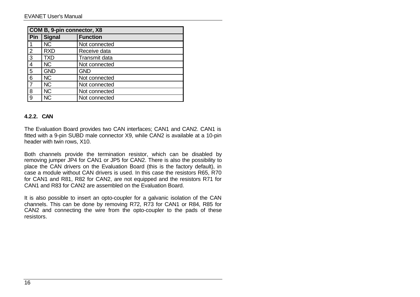|                | COM B, 9-pin connector, X8 |                 |  |  |  |
|----------------|----------------------------|-----------------|--|--|--|
| Pin            | <b>Signal</b>              | <b>Function</b> |  |  |  |
|                | NC.                        | Not connected   |  |  |  |
| $\overline{2}$ | <b>RXD</b>                 | Receive data    |  |  |  |
| 3              | <b>TXD</b>                 | Transmit data   |  |  |  |
| $\overline{4}$ | <b>NC</b>                  | Not connected   |  |  |  |
| 5              | <b>GND</b>                 | <b>GND</b>      |  |  |  |
| 6              | <b>NC</b>                  | Not connected   |  |  |  |
|                | <b>NC</b>                  | Not connected   |  |  |  |
| 8              | <b>NC</b>                  | Not connected   |  |  |  |
| 9              | <b>NC</b>                  | Not connected   |  |  |  |

#### **4.2.2. CAN**

The Evaluation Board provides two CAN interfaces; CAN1 and CAN2. CAN1 is fitted with a 9-pin SUBD male connector X9, while CAN2 is available at a 10-pin header with twin rows, X10.

Both channels provide the termination resistor, which can be disabled by removing jumper JP4 for CAN1 or JP5 for CAN2. There is also the possibility to place the CAN drivers on the Evaluation Board (this is the factory default), in case a module without CAN drivers is used. In this case the resistors R65, R70 for CAN1 and R81, R82 for CAN2, are not equipped and the resistors R71 for CAN1 and R83 for CAN2 are assembled on the Evaluation Board.

It is also possible to insert an opto-coupler for a galvanic isolation of the CAN channels. This can be done by removing R72, R73 for CAN1 or R84, R85 for CAN2 and connecting the wire from the opto-coupler to the pads of these resistors.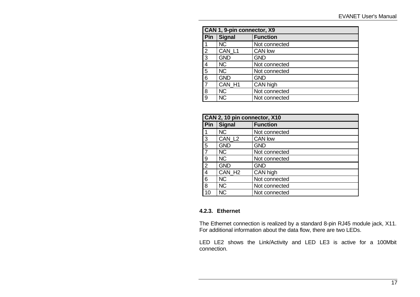|                         | CAN 1, 9-pin connector, X9 |                 |  |  |  |  |
|-------------------------|----------------------------|-----------------|--|--|--|--|
| Pin                     | <b>Signal</b>              | <b>Function</b> |  |  |  |  |
| 1                       | <b>NC</b>                  | Not connected   |  |  |  |  |
| $\overline{2}$          | CAN_L1                     | CAN low         |  |  |  |  |
| 3                       | <b>GND</b>                 | <b>GND</b>      |  |  |  |  |
| $\overline{\mathbf{4}}$ | <b>NC</b>                  | Not connected   |  |  |  |  |
| $\overline{5}$          | <b>NC</b>                  | Not connected   |  |  |  |  |
| 6                       | <b>GND</b>                 | <b>GND</b>      |  |  |  |  |
| $\overline{7}$          | CAN H1                     | CAN high        |  |  |  |  |
| 8                       | <b>NC</b>                  | Not connected   |  |  |  |  |
| 9                       | <b>NC</b>                  | Not connected   |  |  |  |  |

|                | CAN 2, 10 pin connector, X10     |               |  |  |  |
|----------------|----------------------------------|---------------|--|--|--|
| Pin            | <b>Function</b><br><b>Signal</b> |               |  |  |  |
| 1              | <b>NC</b>                        | Not connected |  |  |  |
| 3              | CAN_L <sub>2</sub>               | CAN low       |  |  |  |
| 5              | <b>GND</b>                       | <b>GND</b>    |  |  |  |
| $\overline{7}$ | <b>NC</b>                        | Not connected |  |  |  |
| 9              | NC.                              | Not connected |  |  |  |
| $\overline{2}$ | <b>GND</b>                       | <b>GND</b>    |  |  |  |
| 4              | CAN_H <sub>2</sub>               | CAN high      |  |  |  |
| 6              | NC                               | Not connected |  |  |  |
| 8              | <b>NC</b>                        | Not connected |  |  |  |
| 10             | <b>NC</b>                        | Not connected |  |  |  |

#### **4.2.3. Ethernet**

The Ethernet connection is realized by a standard 8-pin RJ45 module jack, X11. For additional information about the data flow, there are two LEDs.

LED LE2 shows the Link/Activity and LED LE3 is active for a 100Mbit connection.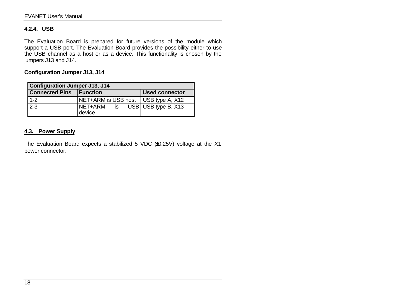#### **4.2.4. USB**

The Evaluation Board is prepared for future versions of the module which support a USB port. The Evaluation Board provides the possibility either to use the USB channel as a host or as a device. This functionality is chosen by the jumpers J13 and J14.

**Configuration Jumper J13, J14**

| <b>Configuration Jumper J13, J14</b> |                                       |                         |  |  |  |  |
|--------------------------------------|---------------------------------------|-------------------------|--|--|--|--|
| <b>Connected Pins</b>                | <b>Function</b>                       | <b>Used connector</b>   |  |  |  |  |
| $1 - 2$                              | NET+ARM is USB host   USB type A, X12 |                         |  |  |  |  |
| $2 - 3$                              | NET+ARM<br>is<br>device               | $USB$ USB type B, $X13$ |  |  |  |  |

## **4.3. Power Supply**

The Evaluation Board expects a stabilized 5 VDC  $#0.25V$ ) voltage at the X1 power connector.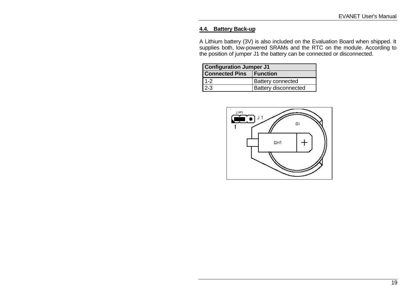#### **4.4. Battery Back-up**

A Lithium battery (3V) is also included on the Evaluation Board when shipped. It supplies both, low-powered SRAMs and the RTC on the module. According to the position of jumper J1 the battery can be connected or disconnected.

| <b>Configuration Jumper J1</b> |                             |  |  |  |
|--------------------------------|-----------------------------|--|--|--|
| <b>Connected Pins Function</b> |                             |  |  |  |
| $1 - 2$                        | <b>Battery connected</b>    |  |  |  |
| $2 - 3$                        | <b>Battery disconnected</b> |  |  |  |

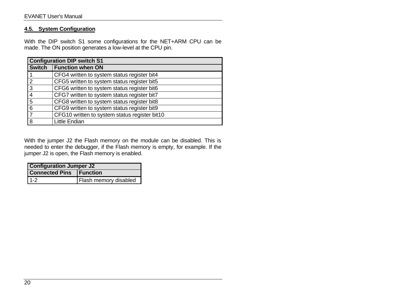#### **4.5. System Configuration**

With the DIP switch S1 some configurations for the NET+ARM CPU can be made. The ON position generates a low-level at the CPU pin.

|                | <b>Configuration DIP switch S1</b>            |  |  |  |  |
|----------------|-----------------------------------------------|--|--|--|--|
| <b>Switch</b>  | <b>Function when ON</b>                       |  |  |  |  |
|                | CFG4 written to system status register bit4   |  |  |  |  |
| $\overline{2}$ | CFG5 written to system status register bit5   |  |  |  |  |
| 3              | CFG6 written to system status register bit6   |  |  |  |  |
|                | CFG7 written to system status register bit7   |  |  |  |  |
| 5              | CFG8 written to system status register bit8   |  |  |  |  |
| 6              | CFG9 written to system status register bit9   |  |  |  |  |
|                | CFG10 written to system status register bit10 |  |  |  |  |
| 8              | <b>Little Endian</b>                          |  |  |  |  |

With the jumper J2 the Flash memory on the module can be disabled. This is needed to enter the debugger, if the Flash memory is empty, for example. If the jumper J2 is open, the Flash memory is enabled.

| <b>Configuration Jumper J2</b>        |  |  |  |  |  |
|---------------------------------------|--|--|--|--|--|
| <b>Connected Pins Function</b>        |  |  |  |  |  |
| $1-2$<br><b>Flash memory disabled</b> |  |  |  |  |  |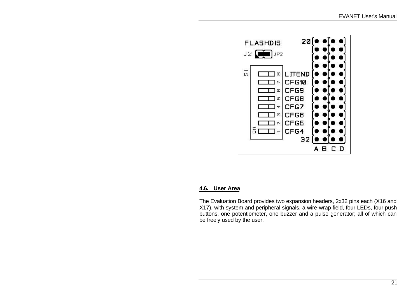

#### **4.6. User Area**

The Evaluation Board provides two expansion headers, 2x32 pins each (X16 and X17), with system and peripheral signals, a wire-wrap field, four LEDs, four push buttons, one potentiometer, one buzzer and a pulse generator; all of which can be freely used by the user.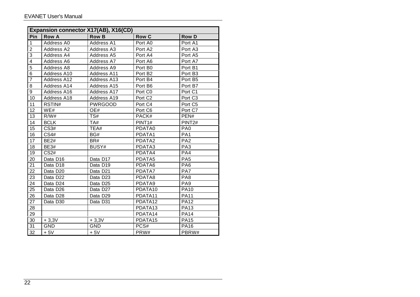|                  | Expansion connector X17(AB), X16(CD) |                    |                     |                     |  |  |  |
|------------------|--------------------------------------|--------------------|---------------------|---------------------|--|--|--|
| Pin              | <b>Row A</b>                         | <b>Row B</b>       | <b>Row C</b>        | <b>Row D</b>        |  |  |  |
| 1                | Address A0                           | Address A1         | Port A0             | Port A1             |  |  |  |
| $\overline{2}$   | Address A2                           | Address A3         | Port A2             | Port A3             |  |  |  |
| 3                | Address A4                           | Address A5         | Port A4             | Port A5             |  |  |  |
| $\overline{4}$   | Address A6                           | Address A7         | Port A6             | Port A7             |  |  |  |
| $\overline{5}$   | Address A8                           | Address A9         | Port B0             | Port B1             |  |  |  |
| $6\phantom{1}6$  | Address A10                          | <b>Address A11</b> | Port B <sub>2</sub> | Port B <sub>3</sub> |  |  |  |
| 7                | Address A12                          | Address A13        | Port B4             | Port B5             |  |  |  |
| 8                | Address A14                          | Address A15        | Port B6             | Port B7             |  |  |  |
| $\boldsymbol{9}$ | Address A16                          | Address A17        | Port C0             | Port C1             |  |  |  |
| 10               | Address A18                          | Address A19        | Port C <sub>2</sub> | Port C <sub>3</sub> |  |  |  |
| 11               | RSTIN#                               | <b>PWRGOOD</b>     | Port C4             | Port C <sub>5</sub> |  |  |  |
| 12               | WE#                                  | OE#                | Port C6             | Port C7             |  |  |  |
| 13               | R/W#                                 | TS#                | PACK#               | PEN#                |  |  |  |
| 14               | <b>BCLK</b>                          | TA#                | PINT <sub>1#</sub>  | PINT <sub>2#</sub>  |  |  |  |
| 15               | <b>CS3#</b>                          | TEA#               | PDATA0              | PA <sub>0</sub>     |  |  |  |
| 16               | <b>CS4#</b>                          | BG#                | PDATA1              | PA <sub>1</sub>     |  |  |  |
| 17               | <b>BE2#</b>                          | BR#                | PDATA2              | PA <sub>2</sub>     |  |  |  |
| 18               | <b>BE3#</b>                          | BUSY#              | PDATA3              | PA <sub>3</sub>     |  |  |  |
| 19               | CS <sub>2#</sub>                     |                    | PDATA4              | PA4                 |  |  |  |
| 20               | Data D16                             | Data D17           | PDATA5              | PA <sub>5</sub>     |  |  |  |
| 21               | Data D18                             | Data D19           | PDATA6              | PA <sub>6</sub>     |  |  |  |
| 22               | Data D20                             | Data D21           | PDATA7              | PA7                 |  |  |  |
| 23               | Data D22                             | Data D23           | PDATA8              | PA <sub>8</sub>     |  |  |  |
| 24               | Data D24                             | Data D25           | PDATA9              | PA <sub>9</sub>     |  |  |  |
| 25               | Data D <sub>26</sub>                 | Data D27           | PDATA10             | <b>PA10</b>         |  |  |  |
| 26               | Data D28                             | Data D29           | PDATA11             | <b>PA11</b>         |  |  |  |
| 27               | Data D30                             | Data D31           | PDATA12             | <b>PA12</b>         |  |  |  |
| 28               |                                      |                    | PDATA13             | <b>PA13</b>         |  |  |  |
| 29               |                                      |                    | PDATA14             | <b>PA14</b>         |  |  |  |
| 30               | $+3,3V$                              | $+3,3V$            | PDATA15             | <b>PA15</b>         |  |  |  |
| 31               | <b>GND</b>                           | <b>GND</b>         | PCS#                | <b>PA16</b>         |  |  |  |
| 32               | $+5V$                                | $+5V$              | PRW#                | PBRW#               |  |  |  |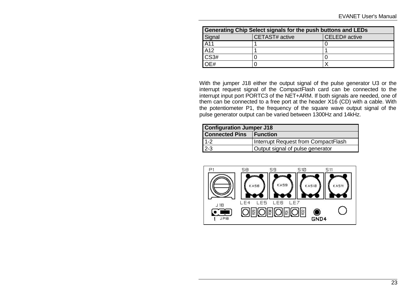| Generating Chip Select signals for the push buttons and LEDs |                |               |  |  |  |
|--------------------------------------------------------------|----------------|---------------|--|--|--|
| Signal                                                       | CETAST# active | CELED# active |  |  |  |
| A11                                                          |                |               |  |  |  |
| A12                                                          |                |               |  |  |  |
| CS3#                                                         |                |               |  |  |  |
| $\overline{DEH}$                                             |                | ⋎             |  |  |  |

With the jumper J18 either the output signal of the pulse generator U3 or the interrupt request signal of the CompactFlash card can be connected to the interrupt input port PORTC3 of the NET+ARM. If both signals are needed, one of them can be connected to a free port at the header X16 (CD) with a cable. With the potentiometer P1, the frequency of the square wave output signal of the pulse generator output can be varied between 1300Hz and 14kHz.

| <b>Configuration Jumper J18</b>           |                                     |  |  |  |
|-------------------------------------------|-------------------------------------|--|--|--|
| Connected Pins   Function                 |                                     |  |  |  |
| $1 - 2$                                   | Interrupt Request from CompactFlash |  |  |  |
| $2-3$<br>Output signal of pulse generator |                                     |  |  |  |

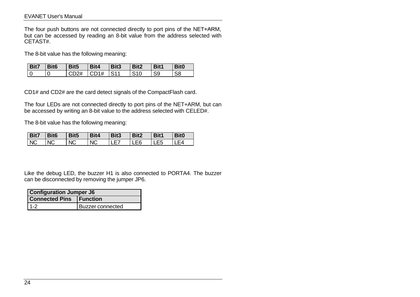#### EVANET User's Manual

The four push buttons are not connected directly to port pins of the NET+ARM, but can be accessed by reading an 8-bit value from the address selected with CETAST#.

The 8-bit value has the following meaning:

| <b>Bit7</b> | Bit <sub>6</sub> | Bit <sub>5</sub> | Bit4         | Bit <sub>3</sub> | Bit2       | Bit1           | <b>Bit0</b> |
|-------------|------------------|------------------|--------------|------------------|------------|----------------|-------------|
|             |                  | CD2#             | $C\Gamma$ 1# | IS11             | <b>S10</b> | S <sub>9</sub> |             |

CD1# and CD2# are the card detect signals of the CompactFlash card.

The four LEDs are not connected directly to port pins of the NET+ARM, but can be accessed by writing an 8-bit value to the address selected with CELED#.

The 8-bit value has the following meaning:

| <b>Bit7</b> | Bit <sub>6</sub> | Bit <sub>5</sub> | Bit4      | Bit3 | Bit2 | Bit1 | Bit <sub>0</sub> |
|-------------|------------------|------------------|-----------|------|------|------|------------------|
| <b>NC</b>   | <b>NC</b>        | <b>NC</b>        | <b>NC</b> | ►    | LE6  | ∟Է5  | ┕△               |

Like the debug LED, the buzzer H1 is also connected to PORTA4. The buzzer can be disconnected by removing the jumper JP6.

| <b>Configuration Jumper J6</b> |                  |  |
|--------------------------------|------------------|--|
| <b>Connected Pins Function</b> |                  |  |
| $11-2$                         | Buzzer connected |  |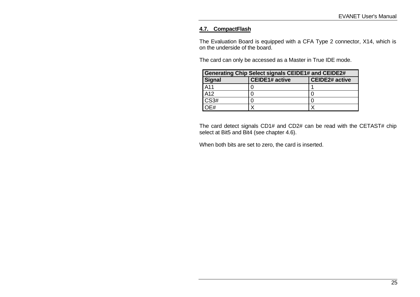## **4.7. CompactFlash**

The Evaluation Board is equipped with a CFA Type 2 connector, X14, which is on the underside of the board.

The card can only be accessed as a Master in True IDE mode.

| Generating Chip Select signals CEIDE1# and CEIDE2# |                       |                       |  |
|----------------------------------------------------|-----------------------|-----------------------|--|
| Signal                                             | <b>CEIDE1# active</b> | <b>CEIDE2# active</b> |  |
| A11                                                |                       |                       |  |
| A <sub>12</sub>                                    |                       |                       |  |
| CS3#                                               |                       |                       |  |
|                                                    |                       |                       |  |

The card detect signals CD1# and CD2# can be read with the CETAST# chip select at Bit5 and Bit4 (see chapter 4.6).

When both bits are set to zero, the card is inserted.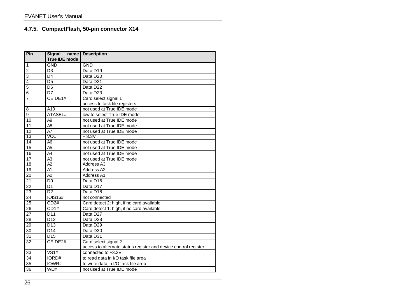# **4.7.5. CompactFlash, 50-pin connector X14**

| Pin             | <b>Signal</b><br>name<br><b>True IDE mode</b> | <b>Description</b>                                                                      |
|-----------------|-----------------------------------------------|-----------------------------------------------------------------------------------------|
| $\mathbf{1}$    | <b>GND</b>                                    | <b>GND</b>                                                                              |
| $\overline{2}$  | $\overline{D3}$                               | Data D19                                                                                |
| $\overline{3}$  | D <sub>4</sub>                                | Data D <sub>20</sub>                                                                    |
| 4               | D <sub>5</sub>                                | Data D <sub>21</sub>                                                                    |
| $\overline{5}$  | D <sub>6</sub>                                | Data D <sub>22</sub>                                                                    |
| 6               | $\overline{D7}$                               | Data D23                                                                                |
| $\overline{7}$  | $\overline{CEIDE}$ 1#                         | Card select signal 1<br>access to task file registers                                   |
| 8               | $\overline{A10}$                              | not used at True IDE mode                                                               |
| 9               | ATASEL#                                       | low to select True IDE mode                                                             |
| 10              | A <sub>9</sub>                                | not used at True IDE mode                                                               |
| 11              | A <sub>8</sub>                                | not used at True IDE mode                                                               |
| 12              | A7                                            | not used at True IDE mode                                                               |
| 13              | <b>VCC</b>                                    | $+3.3V$                                                                                 |
| 14              | A <sub>6</sub>                                | not used at True IDE mode                                                               |
| 15              | A <sub>5</sub>                                | not used at True IDE mode                                                               |
| 16              | A4                                            | not used at True IDE mode                                                               |
| 17              | A <sub>3</sub>                                | not used at True IDE mode                                                               |
| $\overline{18}$ | $\overline{A2}$                               | Address A3                                                                              |
| 19              | A <sub>1</sub>                                | Address <sub>A2</sub>                                                                   |
| 20              | A <sub>0</sub>                                | Address A1                                                                              |
| $\overline{21}$ | D <sub>0</sub>                                | Data D16                                                                                |
| $\overline{22}$ | D <sub>1</sub>                                | Data D17                                                                                |
| 23              | $\overline{D2}$                               | Data D <sub>18</sub>                                                                    |
| 24              | <b>IOIS16#</b>                                | not connected                                                                           |
| $\overline{25}$ | CD2#                                          | Card detect 2: high, if no card available                                               |
| 26              | CD1#                                          | Card detect 1: high, if no card available                                               |
| $\overline{27}$ | $\overline{D11}$                              | Data D27                                                                                |
| 28              | D12                                           | Data D <sub>28</sub>                                                                    |
| 29              | $\overline{D13}$                              | Data D29                                                                                |
| 30              | $\overline{D14}$                              | Data D30                                                                                |
| 31              | D <sub>15</sub>                               | Data D31                                                                                |
| $\overline{32}$ | CEIDE2#                                       | Card select signal 2<br>access to alternate status register and device control register |
| 33              | VS1#                                          | connected to $+3.\overline{3V}$                                                         |
| 34              | IORD#                                         | to read data in I/O task file area                                                      |
| 35              | IOWR#                                         | to write data in I/O task file area                                                     |
| 36              | WE#                                           | not used at True IDE mode                                                               |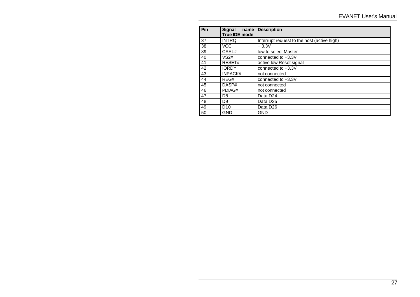| Pin | <b>Signal</b><br>name<br><b>True IDE mode</b> | <b>Description</b>                          |
|-----|-----------------------------------------------|---------------------------------------------|
| 37  | <b>INTRQ</b>                                  | Interrupt request to the host (active high) |
| 38  | <b>VCC</b>                                    | $+3.3V$                                     |
| 39  | CSEL#                                         | low to select Master                        |
| 40  | VS <sub>2#</sub>                              | connected to $+3.3V$                        |
| 41  | RESET#                                        | active low Reset signal                     |
| 42  | <b>IORDY</b>                                  | connected to $+3.3V$                        |
| 43  | <b>INPACK#</b>                                | not connected                               |
| 44  | REG#                                          | connected to +3.3V                          |
| 45  | DASP#                                         | not connected                               |
| 46  | PDIAG#                                        | not connected                               |
| 47  | D <sub>8</sub>                                | Data D <sub>24</sub>                        |
| 48  | D <sub>9</sub>                                | Data D <sub>25</sub>                        |
| 49  | D <sub>10</sub>                               | Data D <sub>26</sub>                        |
| 50  | <b>GND</b>                                    | <b>GND</b>                                  |